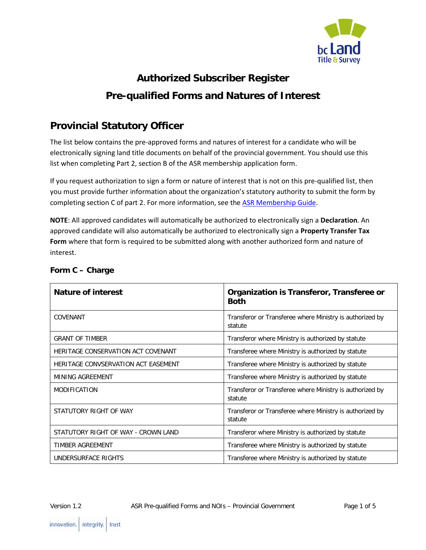

# **Authorized Subscriber Register Pre-qualified Forms and Natures of Interest**

# **Provincial Statutory Officer**

The list below contains the pre-approved forms and natures of interest for a candidate who will be electronically signing land title documents on behalf of the provincial government. You should use this list when completing Part 2, section B of the ASR membership application form.

If you request authorization to sign a form or nature of interest that is not on this pre-qualified list, then you must provide further information about the organization's statutory authority to submit the form by completing section C of part 2. For more information, see the [ASR Membership Guide.](http://www.ltsa.ca/docs/ASR-Membership-Guide.pdf)

**NOTE**: All approved candidates will automatically be authorized to electronically sign a **Declaration**. An approved candidate will also automatically be authorized to electronically sign a **Property Transfer Tax Form** where that form is required to be submitted along with another authorized form and nature of interest.

| Nature of interest                  | Organization is Transferor, Transferee or<br><b>Both</b>            |
|-------------------------------------|---------------------------------------------------------------------|
| COVENANT                            | Transferor or Transferee where Ministry is authorized by<br>statute |
| <b>GRANT OF TIMBER</b>              | Transferor where Ministry is authorized by statute                  |
| HERITAGE CONSERVATION ACT COVENANT  | Transferee where Ministry is authorized by statute                  |
| HERITAGE CONVSERVATION ACT EASEMENT | Transferee where Ministry is authorized by statute                  |
| MINING AGREEMENT                    | Transferee where Ministry is authorized by statute                  |
| <b>MODIFICATION</b>                 | Transferor or Transferee where Ministry is authorized by<br>statute |
| STATUTORY RIGHT OF WAY              | Transferor or Transferee where Ministry is authorized by<br>statute |
| STATUTORY RIGHT OF WAY - CROWN LAND | Transferor where Ministry is authorized by statute                  |
| <b>TIMBER AGREEMENT</b>             | Transferee where Ministry is authorized by statute                  |
| UNDERSURFACE RIGHTS                 | Transferee where Ministry is authorized by statute                  |

## **Form C – Charge**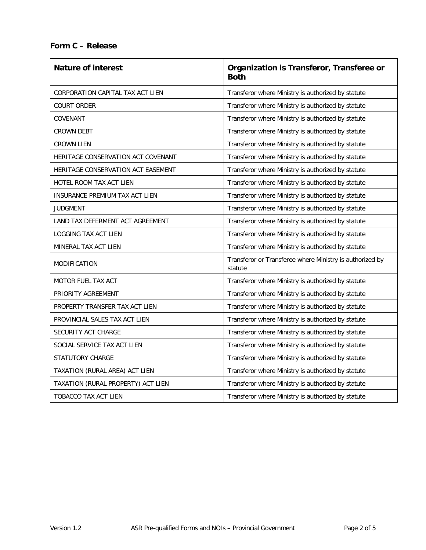#### **Form C – Release**

| <b>Nature of interest</b>          | Organization is Transferor, Transferee or<br><b>Both</b>            |
|------------------------------------|---------------------------------------------------------------------|
| CORPORATION CAPITAL TAX ACT LIEN   | Transferor where Ministry is authorized by statute                  |
| <b>COURT ORDER</b>                 | Transferor where Ministry is authorized by statute                  |
| COVENANT                           | Transferor where Ministry is authorized by statute                  |
| <b>CROWN DEBT</b>                  | Transferor where Ministry is authorized by statute                  |
| <b>CROWN LIEN</b>                  | Transferor where Ministry is authorized by statute                  |
| HERITAGE CONSERVATION ACT COVENANT | Transferor where Ministry is authorized by statute                  |
| HERITAGE CONSERVATION ACT EASEMENT | Transferor where Ministry is authorized by statute                  |
| HOTEL ROOM TAX ACT LIEN            | Transferor where Ministry is authorized by statute                  |
| INSURANCE PREMIUM TAX ACT LIEN     | Transferor where Ministry is authorized by statute                  |
| <b>JUDGMENT</b>                    | Transferor where Ministry is authorized by statute                  |
| LAND TAX DEFERMENT ACT AGREEMENT   | Transferor where Ministry is authorized by statute                  |
| LOGGING TAX ACT LIEN               | Transferor where Ministry is authorized by statute                  |
| MINERAL TAX ACT LIEN               | Transferor where Ministry is authorized by statute                  |
| MODIFICATION                       | Transferor or Transferee where Ministry is authorized by<br>statute |
| <b>MOTOR FUEL TAX ACT</b>          | Transferor where Ministry is authorized by statute                  |
| PRIORITY AGREEMENT                 | Transferor where Ministry is authorized by statute                  |
| PROPERTY TRANSFER TAX ACT LIEN     | Transferor where Ministry is authorized by statute                  |
| PROVINCIAL SALES TAX ACT LIEN      | Transferor where Ministry is authorized by statute                  |
| SECURITY ACT CHARGE                | Transferor where Ministry is authorized by statute                  |
| SOCIAL SERVICE TAX ACT LIEN        | Transferor where Ministry is authorized by statute                  |
| STATUTORY CHARGE                   | Transferor where Ministry is authorized by statute                  |
| TAXATION (RURAL AREA) ACT LIEN     | Transferor where Ministry is authorized by statute                  |
| TAXATION (RURAL PROPERTY) ACT LIEN | Transferor where Ministry is authorized by statute                  |
| <b>TOBACCO TAX ACT LIEN</b>        | Transferor where Ministry is authorized by statute                  |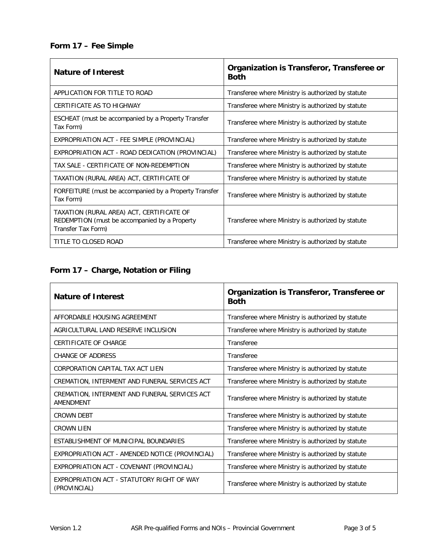#### **Form 17 – Fee Simple**

| <b>Nature of Interest</b>                                                                                        | Organization is Transferor, Transferee or<br><b>Both</b> |
|------------------------------------------------------------------------------------------------------------------|----------------------------------------------------------|
| APPLICATION FOR TITLE TO ROAD                                                                                    | Transferee where Ministry is authorized by statute       |
| CERTIFICATE AS TO HIGHWAY                                                                                        | Transferee where Ministry is authorized by statute       |
| ESCHEAT (must be accompanied by a Property Transfer<br>Tax Form)                                                 | Transferee where Ministry is authorized by statute       |
| EXPROPRIATION ACT - FEE SIMPLE (PROVINCIAL)                                                                      | Transferee where Ministry is authorized by statute       |
| EXPROPRIATION ACT - ROAD DEDICATION (PROVINCIAL)                                                                 | Transferee where Ministry is authorized by statute       |
| TAX SALE - CERTIFICATE OF NON-REDEMPTION                                                                         | Transferee where Ministry is authorized by statute       |
| TAXATION (RURAL AREA) ACT, CERTIFICATE OF                                                                        | Transferee where Ministry is authorized by statute       |
| FORFEITURE (must be accompanied by a Property Transfer<br>Tax Form)                                              | Transferee where Ministry is authorized by statute       |
| TAXATION (RURAL AREA) ACT, CERTIFICATE OF<br>REDEMPTION (must be accompanied by a Property<br>Transfer Tax Form) | Transferee where Ministry is authorized by statute       |
| TITLE TO CLOSED ROAD                                                                                             | Transferee where Ministry is authorized by statute       |

# **Form 17 – Charge, Notation or Filing**

| <b>Nature of Interest</b>                                         | Organization is Transferor, Transferee or<br><b>Both</b> |
|-------------------------------------------------------------------|----------------------------------------------------------|
| AFFORDABLE HOUSING AGREEMENT                                      | Transferee where Ministry is authorized by statute       |
| AGRICULTURAL LAND RESERVE INCLUSION                               | Transferee where Ministry is authorized by statute       |
| CERTIFICATE OF CHARGE                                             | Transferee                                               |
| CHANGE OF ADDRESS                                                 | Transferee                                               |
| CORPORATION CAPITAL TAX ACT LIEN                                  | Transferee where Ministry is authorized by statute       |
| CREMATION, INTERMENT AND FUNERAL SERVICES ACT                     | Transferee where Ministry is authorized by statute       |
| CREMATION, INTERMENT AND FUNERAL SERVICES ACT<br><b>AMENDMENT</b> | Transferee where Ministry is authorized by statute       |
| <b>CROWN DEBT</b>                                                 | Transferee where Ministry is authorized by statute       |
| <b>CROWN LIEN</b>                                                 | Transferee where Ministry is authorized by statute       |
| ESTABLISHMENT OF MUNICIPAL BOUNDARIES                             | Transferee where Ministry is authorized by statute       |
| EXPROPRIATION ACT - AMENDED NOTICE (PROVINCIAL)                   | Transferee where Ministry is authorized by statute       |
| EXPROPRIATION ACT - COVENANT (PROVINCIAL)                         | Transferee where Ministry is authorized by statute       |
| EXPROPRIATION ACT - STATUTORY RIGHT OF WAY<br>(PROVINCIAL)        | Transferee where Ministry is authorized by statute       |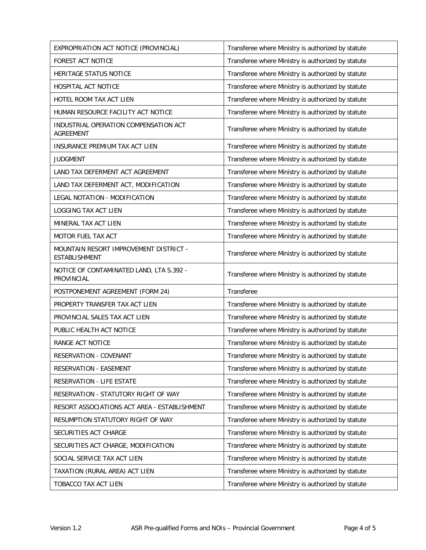| EXPROPRIATION ACT NOTICE (PROVINCIAL)                          | Transferee where Ministry is authorized by statute |
|----------------------------------------------------------------|----------------------------------------------------|
| FOREST ACT NOTICE                                              | Transferee where Ministry is authorized by statute |
| HERITAGE STATUS NOTICE                                         | Transferee where Ministry is authorized by statute |
| <b>HOSPITAL ACT NOTICE</b>                                     | Transferee where Ministry is authorized by statute |
| HOTEL ROOM TAX ACT LIEN                                        | Transferee where Ministry is authorized by statute |
| HUMAN RESOURCE FACILITY ACT NOTICE                             | Transferee where Ministry is authorized by statute |
| INDUSTRIAL OPERATION COMPENSATION ACT<br><b>AGREEMENT</b>      | Transferee where Ministry is authorized by statute |
| INSURANCE PREMIUM TAX ACT LIEN                                 | Transferee where Ministry is authorized by statute |
| <b>JUDGMENT</b>                                                | Transferee where Ministry is authorized by statute |
| LAND TAX DEFERMENT ACT AGREEMENT                               | Transferee where Ministry is authorized by statute |
| LAND TAX DEFERMENT ACT, MODIFICATION                           | Transferee where Ministry is authorized by statute |
| LEGAL NOTATION - MODIFICATION                                  | Transferee where Ministry is authorized by statute |
| LOGGING TAX ACT LIEN                                           | Transferee where Ministry is authorized by statute |
| MINERAL TAX ACT LIEN                                           | Transferee where Ministry is authorized by statute |
| MOTOR FUEL TAX ACT                                             | Transferee where Ministry is authorized by statute |
| MOUNTAIN RESORT IMPROVEMENT DISTRICT -<br><b>ESTABLISHMENT</b> | Transferee where Ministry is authorized by statute |
| NOTICE OF CONTAMINATED LAND, LTA S.392 -<br>PROVINCIAL         | Transferee where Ministry is authorized by statute |
| POSTPONEMENT AGREEMENT (FORM 24)                               | Transferee                                         |
| PROPERTY TRANSFER TAX ACT LIEN                                 | Transferee where Ministry is authorized by statute |
| PROVINCIAL SALES TAX ACT LIEN                                  | Transferee where Ministry is authorized by statute |
| PUBLIC HEALTH ACT NOTICE                                       | Transferee where Ministry is authorized by statute |
| RANGE ACT NOTICE                                               | Transferee where Ministry is authorized by statute |
| RESERVATION - COVENANT                                         | Transferee where Ministry is authorized by statute |
| RESERVATION - EASEMENT                                         | Transferee where Ministry is authorized by statute |
| RESERVATION - LIFE ESTATE                                      | Transferee where Ministry is authorized by statute |
| RESERVATION - STATUTORY RIGHT OF WAY                           | Transferee where Ministry is authorized by statute |
| RESORT ASSOCIATIONS ACT AREA - ESTABLISHMENT                   | Transferee where Ministry is authorized by statute |
| RESUMPTION STATUTORY RIGHT OF WAY                              |                                                    |
|                                                                | Transferee where Ministry is authorized by statute |
| SECURITIES ACT CHARGE                                          | Transferee where Ministry is authorized by statute |
| SECURITIES ACT CHARGE, MODIFICATION                            | Transferee where Ministry is authorized by statute |
| SOCIAL SERVICE TAX ACT LIEN                                    | Transferee where Ministry is authorized by statute |
| TAXATION (RURAL AREA) ACT LIEN                                 | Transferee where Ministry is authorized by statute |